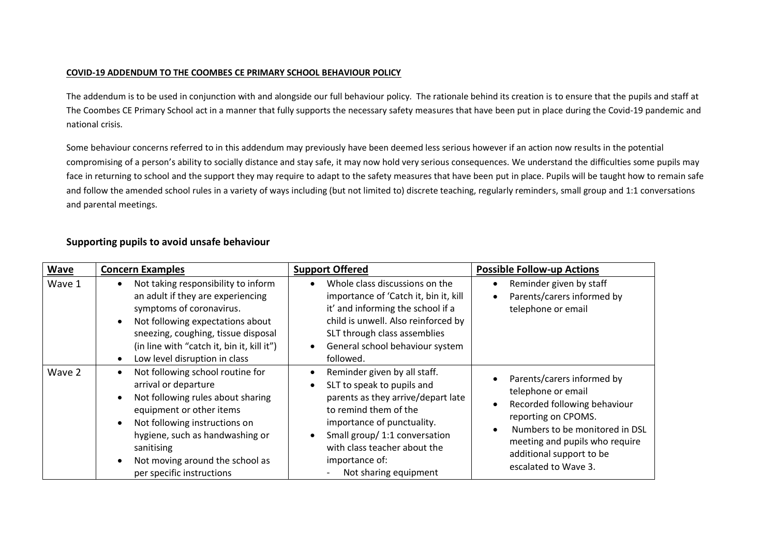## **COVID-19 ADDENDUM TO THE COOMBES CE PRIMARY SCHOOL BEHAVIOUR POLICY**

The addendum is to be used in conjunction with and alongside our full behaviour policy. The rationale behind its creation is to ensure that the pupils and staff at The Coombes CE Primary School act in a manner that fully supports the necessary safety measures that have been put in place during the Covid-19 pandemic and national crisis.

Some behaviour concerns referred to in this addendum may previously have been deemed less serious however if an action now results in the potential compromising of a person's ability to socially distance and stay safe, it may now hold very serious consequences. We understand the difficulties some pupils may face in returning to school and the support they may require to adapt to the safety measures that have been put in place. Pupils will be taught how to remain safe and follow the amended school rules in a variety of ways including (but not limited to) discrete teaching, regularly reminders, small group and 1:1 conversations and parental meetings.

| <b>Wave</b> | <b>Concern Examples</b>                                                                                                                                                                                                                                                                                                         | <b>Support Offered</b>                                                                                                                                                                                                                                              | <b>Possible Follow-up Actions</b>                                                                                                                                                                                                                                      |
|-------------|---------------------------------------------------------------------------------------------------------------------------------------------------------------------------------------------------------------------------------------------------------------------------------------------------------------------------------|---------------------------------------------------------------------------------------------------------------------------------------------------------------------------------------------------------------------------------------------------------------------|------------------------------------------------------------------------------------------------------------------------------------------------------------------------------------------------------------------------------------------------------------------------|
| Wave 1      | Not taking responsibility to inform<br>$\bullet$<br>an adult if they are experiencing<br>symptoms of coronavirus.<br>Not following expectations about<br>$\bullet$<br>sneezing, coughing, tissue disposal<br>(in line with "catch it, bin it, kill it")<br>Low level disruption in class<br>$\bullet$                           | Whole class discussions on the<br>importance of 'Catch it, bin it, kill<br>it' and informing the school if a<br>child is unwell. Also reinforced by<br>SLT through class assemblies<br>General school behaviour system<br>followed.                                 | Reminder given by staff<br>$\bullet$<br>Parents/carers informed by<br>$\bullet$<br>telephone or email                                                                                                                                                                  |
| Wave 2      | Not following school routine for<br>$\bullet$<br>arrival or departure<br>Not following rules about sharing<br>$\bullet$<br>equipment or other items<br>Not following instructions on<br>$\bullet$<br>hygiene, such as handwashing or<br>sanitising<br>Not moving around the school as<br>$\bullet$<br>per specific instructions | Reminder given by all staff.<br>SLT to speak to pupils and<br>parents as they arrive/depart late<br>to remind them of the<br>importance of punctuality.<br>Small group/ 1:1 conversation<br>with class teacher about the<br>importance of:<br>Not sharing equipment | Parents/carers informed by<br>$\bullet$<br>telephone or email<br>Recorded following behaviour<br>$\bullet$<br>reporting on CPOMS.<br>Numbers to be monitored in DSL<br>$\bullet$<br>meeting and pupils who require<br>additional support to be<br>escalated to Wave 3. |

## **Supporting pupils to avoid unsafe behaviour**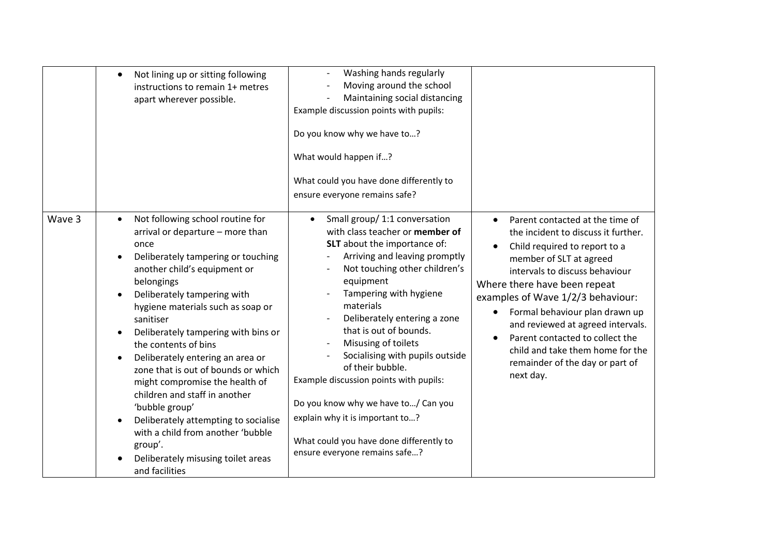|        | Not lining up or sitting following<br>$\bullet$<br>instructions to remain 1+ metres<br>apart wherever possible.                                                                                                                                                                                                                                                                                                                                                                                                                                                                                                                                                         | Washing hands regularly<br>Moving around the school<br>Maintaining social distancing<br>Example discussion points with pupils:<br>Do you know why we have to?<br>What would happen if?<br>What could you have done differently to<br>ensure everyone remains safe?                                                                                                                                                                                                                                                                                                          |                                                                                                                                                                                                                                                                                                                                                                                                                                                      |
|--------|-------------------------------------------------------------------------------------------------------------------------------------------------------------------------------------------------------------------------------------------------------------------------------------------------------------------------------------------------------------------------------------------------------------------------------------------------------------------------------------------------------------------------------------------------------------------------------------------------------------------------------------------------------------------------|-----------------------------------------------------------------------------------------------------------------------------------------------------------------------------------------------------------------------------------------------------------------------------------------------------------------------------------------------------------------------------------------------------------------------------------------------------------------------------------------------------------------------------------------------------------------------------|------------------------------------------------------------------------------------------------------------------------------------------------------------------------------------------------------------------------------------------------------------------------------------------------------------------------------------------------------------------------------------------------------------------------------------------------------|
| Wave 3 | Not following school routine for<br>$\bullet$<br>arrival or departure - more than<br>once<br>Deliberately tampering or touching<br>$\bullet$<br>another child's equipment or<br>belongings<br>Deliberately tampering with<br>$\bullet$<br>hygiene materials such as soap or<br>sanitiser<br>Deliberately tampering with bins or<br>the contents of bins<br>Deliberately entering an area or<br>zone that is out of bounds or which<br>might compromise the health of<br>children and staff in another<br>'bubble group'<br>Deliberately attempting to socialise<br>with a child from another 'bubble<br>group'.<br>Deliberately misusing toilet areas<br>and facilities | Small group/ 1:1 conversation<br>$\bullet$<br>with class teacher or member of<br>SLT about the importance of:<br>Arriving and leaving promptly<br>Not touching other children's<br>equipment<br>Tampering with hygiene<br>materials<br>Deliberately entering a zone<br>that is out of bounds.<br>Misusing of toilets<br>Socialising with pupils outside<br>of their bubble.<br>Example discussion points with pupils:<br>Do you know why we have to/ Can you<br>explain why it is important to?<br>What could you have done differently to<br>ensure everyone remains safe? | Parent contacted at the time of<br>the incident to discuss it further.<br>Child required to report to a<br>member of SLT at agreed<br>intervals to discuss behaviour<br>Where there have been repeat<br>examples of Wave 1/2/3 behaviour:<br>Formal behaviour plan drawn up<br>$\bullet$<br>and reviewed at agreed intervals.<br>Parent contacted to collect the<br>child and take them home for the<br>remainder of the day or part of<br>next day. |